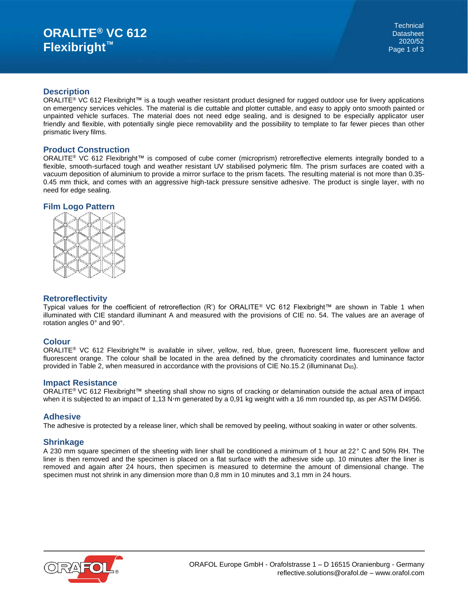#### **Description**

ORALITE<sup>®</sup> VC 612 Flexibright<sup>™</sup> is a tough weather resistant product designed for rugged outdoor use for livery applications on emergency services vehicles. The material is die cuttable and plotter cuttable, and easy to apply onto smooth painted or unpainted vehicle surfaces. The material does not need edge sealing, and is designed to be especially applicator user friendly and flexible, with potentially single piece removability and the possibility to template to far fewer pieces than other prismatic livery films.

## **Product Construction**

ORALITE® VC 612 Flexibright™ is composed of cube corner (microprism) retroreflective elements integrally bonded to a flexible, smooth-surfaced tough and weather resistant UV stabilised polymeric film. The prism surfaces are coated with a vacuum deposition of aluminium to provide a mirror surface to the prism facets. The resulting material is not more than 0.35- 0.45 mm thick, and comes with an aggressive high-tack pressure sensitive adhesive. The product is single layer, with no need for edge sealing.

## **Film Logo Pattern**



# **Retroreflectivity**

Typical values for the coefficient of retroreflection (R') for ORALITE® VC 612 Flexibright™ are shown in Table 1 when illuminated with CIE standard illuminant A and measured with the provisions of CIE no. 54. The values are an average of rotation angles 0° and 90°.

## **Colour**

ORALITE® VC 612 Flexibright™ is available in silver, yellow, red, blue, green, fluorescent lime, fluorescent yellow and fluorescent orange. The colour shall be located in the area defined by the chromaticity coordinates and luminance factor provided in Table 2, when measured in accordance with the provisions of CIE No.15.2 (illuminanat  $D_{65}$ ).

#### **Impact Resistance**

ORALITE® VC 612 Flexibright™ sheeting shall show no signs of cracking or delamination outside the actual area of impact when it is subjected to an impact of 1,13 N·m generated by a 0,91 kg weight with a 16 mm rounded tip, as per ASTM D4956.

#### **Adhesive**

The adhesive is protected by a release liner, which shall be removed by peeling, without soaking in water or other solvents.

#### **Shrinkage**

A 230 mm square specimen of the sheeting with liner shall be conditioned a minimum of 1 hour at 22° C and 50% RH. The liner is then removed and the specimen is placed on a flat surface with the adhesive side up. 10 minutes after the liner is removed and again after 24 hours, then specimen is measured to determine the amount of dimensional change. The specimen must not shrink in any dimension more than 0,8 mm in 10 minutes and 3,1 mm in 24 hours.

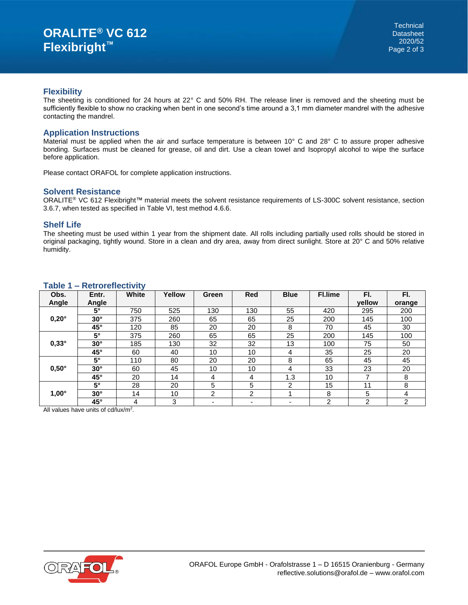#### **Flexibility**

The sheeting is conditioned for 24 hours at 22° C and 50% RH. The release liner is removed and the sheeting must be sufficiently flexible to show no cracking when bent in one second's time around a 3,1 mm diameter mandrel with the adhesive contacting the mandrel.

## **Application Instructions**

Material must be applied when the air and surface temperature is between 10° C and 28° C to assure proper adhesive bonding. Surfaces must be cleaned for grease, oil and dirt. Use a clean towel and Isopropyl alcohol to wipe the surface before application.

Please contact ORAFOL for complete application instructions.

#### **Solvent Resistance**

ORALITE® VC 612 Flexibright™ material meets the solvent resistance requirements of LS-300C solvent resistance, section 3.6.7, when tested as specified in Table VI, test method 4.6.6.

#### **Shelf Life**

The sheeting must be used within 1 year from the shipment date. All rolls including partially used rolls should be stored in original packaging, tightly wound. Store in a clean and dry area, away from direct sunlight. Store at 20° C and 50% relative humidity.

| $1$ able $1 - 1$ tell believed they |              |       |        |                |                          |                          |                |                |                |
|-------------------------------------|--------------|-------|--------|----------------|--------------------------|--------------------------|----------------|----------------|----------------|
| Obs.                                | Entr.        | White | Yellow | Green          | <b>Red</b>               | <b>Blue</b>              | Fl.lime        | FI.            | FI.            |
| Angle                               | Angle        |       |        |                |                          |                          |                | vellow         | orange         |
|                                     | $5^\circ$    | 750   | 525    | 130            | 130                      | 55                       | 420            | 295            | 200            |
| $0,20^\circ$                        | $30^\circ$   | 375   | 260    | 65             | 65                       | 25                       | 200            | 145            | 100            |
|                                     | $45^{\circ}$ | 120   | 85     | 20             | 20                       | 8                        | 70             | 45             | 30             |
|                                     | $5^\circ$    | 375   | 260    | 65             | 65                       | 25                       | 200            | 145            | 100            |
| $0,33^\circ$                        | $30^\circ$   | 185   | 130    | 32             | 32                       | 13                       | 100            | 75             | 50             |
|                                     | $45^{\circ}$ | 60    | 40     | 10             | 10                       | 4                        | 35             | 25             | 20             |
|                                     | $5^\circ$    | 110   | 80     | 20             | 20                       | 8                        | 65             | 45             | 45             |
| $0,50^\circ$                        | $30^\circ$   | 60    | 45     | 10             | 10                       | 4                        | 33             | 23             | 20             |
|                                     | $45^{\circ}$ | 20    | 14     | 4              | 4                        | 1.3                      | 10             |                | 8              |
|                                     | $5^\circ$    | 28    | 20     | 5              | 5                        | 2                        | 15             | 11             | 8              |
| $1,00^\circ$                        | $30^\circ$   | 14    | 10     | $\overline{2}$ | 2                        |                          | 8              | 5              | 4              |
|                                     | $45^{\circ}$ | 4     | 3      |                | $\overline{\phantom{0}}$ | $\overline{\phantom{0}}$ | $\overline{2}$ | $\overline{2}$ | $\overline{2}$ |

#### **Table 1 – Retroreflectivity**

All values have units of cd/lux/m<sup>2</sup>.